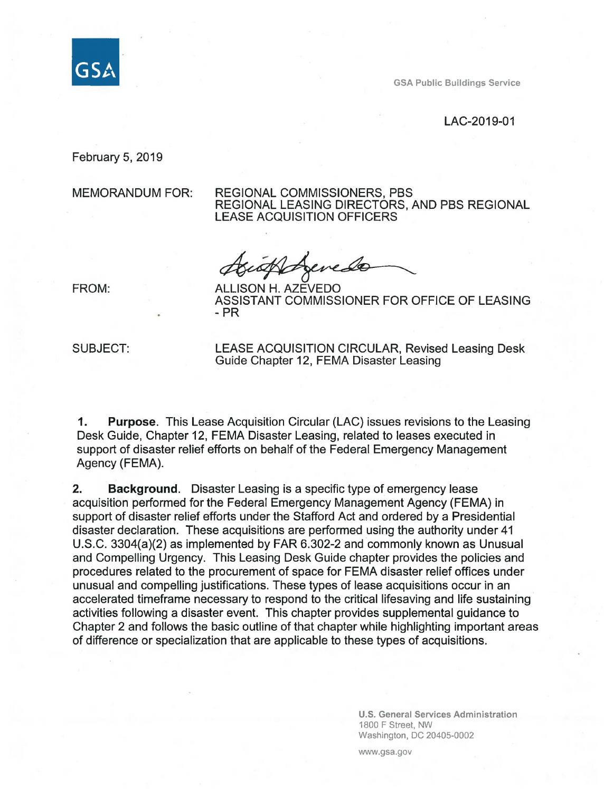

GSA Public Buildings Service

#### LAC-2019-01

February 5, 2019

MEMORANDUM FOR: REGIONAL COMMISSIONERS, PBS REGIONAL LEASING DIRECTORS, AND PBS REGIONAL LEASE ACQUISITION OFFICERS

Agenedo

FROM: ALLISON H. AZEVEDO ASSISTANT COMMISSIONER FOR OFFICE OF LEASING - PR

SUBJECT: LEASE ACQUISITION CIRCULAR, Revised Leasing Desk Guide Chapter 12, FEMA Disaster Leasing

**1. Purpose.** This Lease Acquisition Circular (LAC) issues revisions to the Leasing Desk Guide, Chapter 12, FEMA Disaster Leasing, related to leases executed in support of disaster relief efforts on behalf of the Federal Emergency Management Agency (FEMA).

**2. Background.** Disaster Leasing is a specific type of emergency lease acquisition performed for the Federal Emergency Management Agency (FEMA) in support of disaster relief efforts under the Stafford Act and ordered by a Presidential disaster declaration. These acquisitions are performed using the authority under 41 U.S.C. 3304(a)(2) as implemented by FAR 6.302-2 and commonly known as Unusual and Compelling Urgency. This Leasing Desk Guide chapter provides the policies and procedures related to the procurement of space for FEMA disaster relief offices under unusual and compelling justifications. These types of lease acquisitions occur in an accelerated timeframe necessary to respond to the critical lifesaving and life sustaining activities following a disaster event. This chapter provides supplemental guidance to Chapter 2 and follows the basic outline of that chapter while highlighting important areas of difference or specialization that are applicable to these types of acquisitions.

> **U.S. General Services Administration**  1800 F Street, NW Washington, DC 20405-0002

www.gsa.gov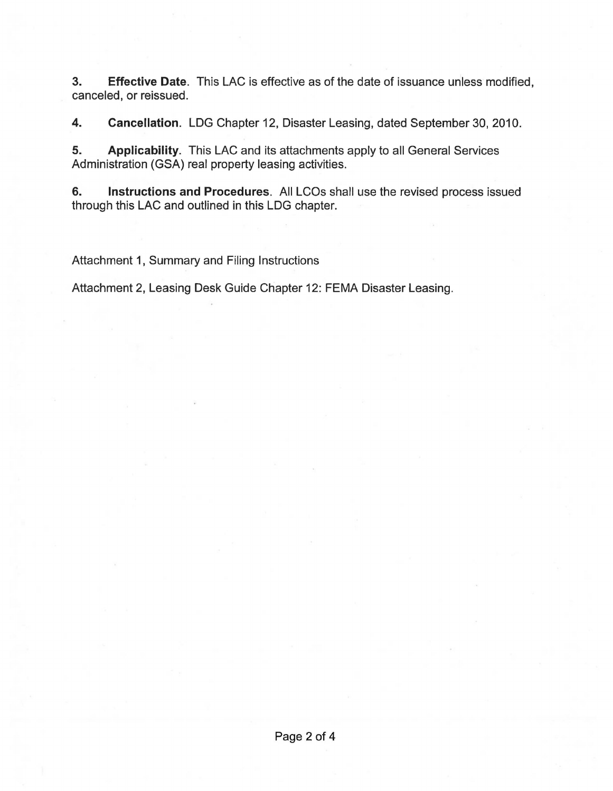**3. Effective Date.** This LAC is effective as of the date of issuance unless modified, canceled, or reissued.

**4. Cancellation.** LOG Chapter 12, Disaster Leasing, dated September 30, 2010.

**5. Applicability.** This LAC and its attachments apply to all General Services Administration (GSA) real property leasing activities.

**6. Instructions and Procedures.** All LCOs shall use the revised process issued through this LAC and outlined in this LOG chapter.

Attachment 1, Summary and Filing Instructions

Attachment 2, Leasing Desk Guide Chapter 12: FEMA Disaster Leasing.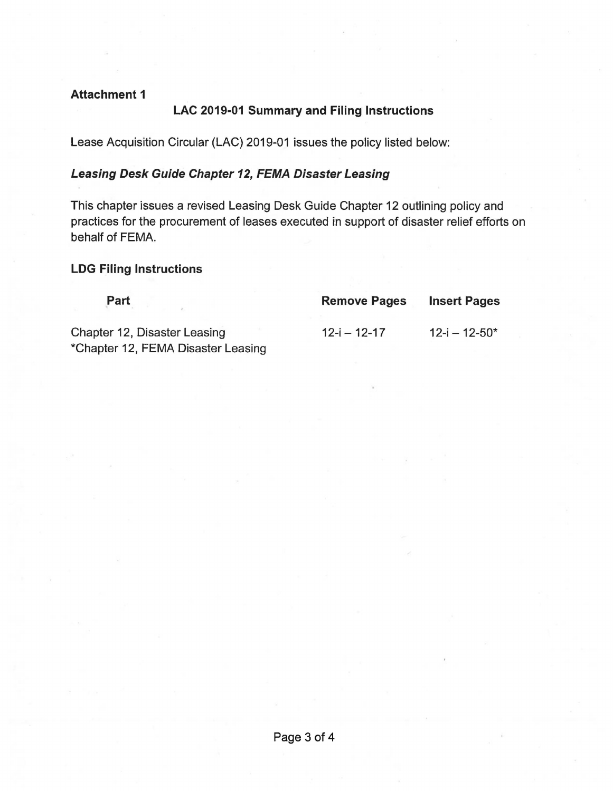#### **Attachment 1**

## **LAC 2019-01 Summary and Filing Instructions**

Lease Acquisition Circular (LAC) 2019-01 issues the policy listed below:

# **Leasing Desk Guide Chapter 12, FEMA Disaster Leasing**

This chapter issues a revised Leasing Desk Guide Chapter 12 outlining policy and practices for the procurement of leases executed in support of disaster relief efforts on behalf of FEMA.

### **LDG Filing Instructions**

| Part                         | <b>Remove Pages</b> | <b>Insert Pages</b>  |
|------------------------------|---------------------|----------------------|
| Chapter 12, Disaster Leasing | $12 - i - 12 - 17$  | $12 - i - 12 - 50^*$ |

\*Chapter 12, FEMA Disaster Leasing